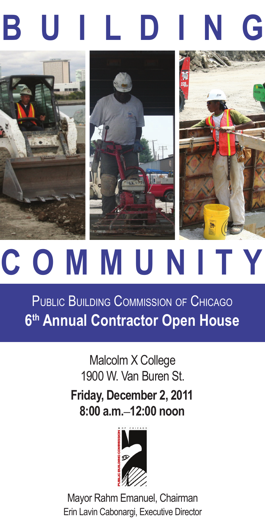# **b u i l d i n g**







## **c o m m u n i t y**

PUBLIC BUILDING COMMISSION OF CHICAGO **6th Annual Contractor Open House**

> **Friday, December 2, 2011 8:00 a.m.**–**12:00 noon** Malcolm X College 1900 W. Van Buren St.



Mayor Rahm Emanuel, Chairman Erin Lavin Cabonargi, Executive Director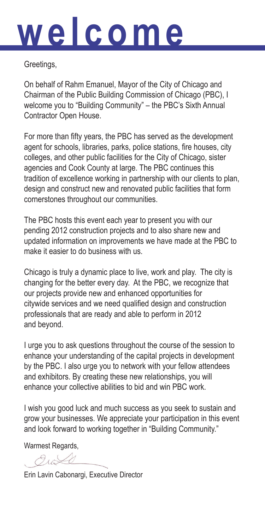### **w e l c o m e**

Greetings,

On behalf of Rahm Emanuel, Mayor of the City of Chicago and Chairman of the Public Building Commission of Chicago (PBC), I welcome you to "Building Community" – the PBC's Sixth Annual Contractor Open House.

For more than fifty years, the PBC has served as the development agent for schools, libraries, parks, police stations, fire houses, city colleges, and other public facilities for the City of Chicago, sister agencies and Cook County at large. The PBC continues this tradition of excellence working in partnership with our clients to plan, design and construct new and renovated public facilities that form cornerstones throughout our communities.

The PBC hosts this event each year to present you with our pending 2012 construction projects and to also share new and updated information on improvements we have made at the PBC to make it easier to do business with us.

Chicago is truly a dynamic place to live, work and play. The city is changing for the better every day. At the PBC, we recognize that our projects provide new and enhanced opportunities for citywide services and we need qualified design and construction professionals that are ready and able to perform in 2012 and beyond.

I urge you to ask questions throughout the course of the session to enhance your understanding of the capital projects in development by the PBC. I also urge you to network with your fellow attendees and exhibitors. By creating these new relationships, you will enhance your collective abilities to bid and win PBC work.

I wish you good luck and much success as you seek to sustain and grow your businesses. We appreciate your participation in this event and look forward to working together in "Building Community."

Warmest Regards,

Outle

Erin Lavin Cabonargi, Executive Director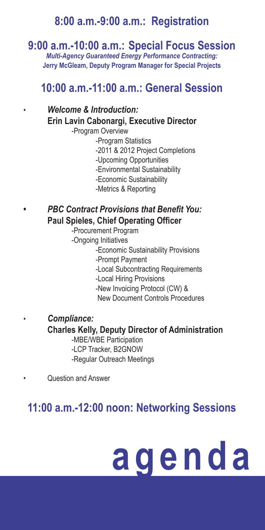#### **8:00 a.m.-9:00 a.m.: Registration**

#### **9:00 a.m.-10:00 a.m.: Special Focus Session**

*Multi-Agency Guaranteed Energy Performance Contracting:* **Jerry McGleam, Deputy Program Manager for Special Projects**

#### **10:00 a.m.-11:00 a.m.: General Session**

#### • *Welcome & Introduction:* **Erin Lavin Cabonargi, Executive Director**

-Program Overview

- -Program Statistics
	- -2011 & 2012 Project Completions
	- -Upcoming Opportunities
	- -Environmental Sustainability
	- -Economic Sustainability
	- -Metrics & Reporting

#### **•** *PBC Contract Provisions that Benefit You:* **Paul Spieles, Chief Operating Officer**

- -Procurement Program
- -Ongoing Initiatives
	- -Economic Sustainability Provisions
	- -Prompt Payment
	- -Local Subcontracting Requirements
	- -Local Hiring Provisions
	- -New Invoicing Protocol (CW) &
	- New Document Controls Procedures

#### • *Compliance:*

#### **Charles Kelly, Deputy Director of Administration**

-MBE/WBE Participation -LCP Tracker, B2GNOW

-Regular Outreach Meetings

• Question and Answer

#### **11:00 a.m.-12:00 noon: Networking Sessions**

## **a g e n d a**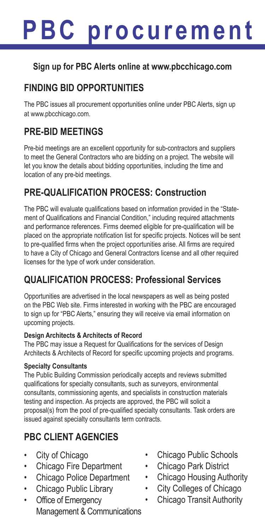### **PBC p r o c u r e m e n t**

#### **Sign up for PBC Alerts online at www.pbcchicago.com**

#### **FINDING BID OPPORTUNITIES**

The PBC issues all procurement opportunities online under PBC Alerts, sign up at www.pbcchicago.com.

#### **PRE-BID MEETINGS**

Pre-bid meetings are an excellent opportunity for sub-contractors and suppliers to meet the General Contractors who are bidding on a project. The website will let you know the details about bidding opportunities, including the time and location of any pre-bid meetings.

#### **PRE-QUALIFICATION PROCESS: Construction**

The PBC will evaluate qualifications based on information provided in the "Statement of Qualifications and Financial Condition," including required attachments and performance references. Firms deemed eligible for pre-qualification will be placed on the appropriate notification list for specific projects. Notices will be sent to pre-qualified firms when the project opportunities arise. All firms are required to have a City of Chicago and General Contractors license and all other required licenses for the type of work under consideration.

#### **QUALIFICATION PROCESS: Professional Services**

Opportunities are advertised in the local newspapers as well as being posted on the PBC Web site. Firms interested in working with the PBC are encouraged to sign up for "PBC Alerts," ensuring they will receive via email information on upcoming projects.

#### **Design Architects & Architects of Record**

The PBC may issue a Request for Qualifications for the services of Design Architects & Architects of Record for specific upcoming projects and programs.

#### **Specialty Consultants**

The Public Building Commission periodically accepts and reviews submitted qualifications for specialty consultants, such as surveyors, environmental consultants, commissioning agents, and specialists in construction materials testing and inspection. As projects are approved, the PBC will solicit a proposal(s) from the pool of pre-qualified specialty consultants. Task orders are issued against specialty consultants term contracts.

#### **PBC CLIENT AGENCIES**

- City of Chicago
- Chicago Fire Department
- Chicago Police Department
- Chicago Public Library
- Office of Emergency Management & Communications
- Chicago Public Schools
- Chicago Park District
- Chicago Housing Authority
- City Colleges of Chicago
- Chicago Transit Authority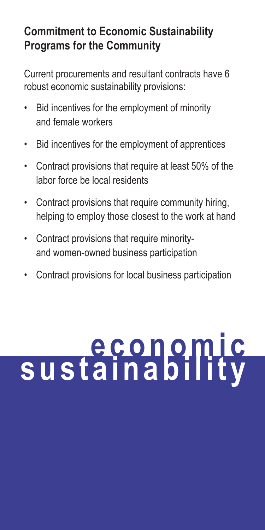#### **Commitment to Economic Sustainability Programs for the Community**

Current procurements and resultant contracts have 6 robust economic sustainability provisions:

- Bid incentives for the employment of minority and female workers
- Bid incentives for the employment of apprentices
- Contract provisions that require at least 50% of the labor force be local residents
- Contract provisions that require community hiring, helping to employ those closest to the work at hand
- Contract provisions that require minorityand women-owned business participation
- Contract provisions for local business participation

# **e c o n o m i c s u s t a i n a b i l i t y**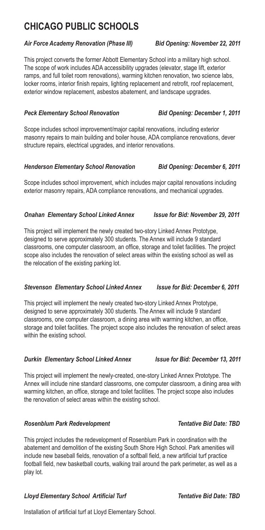#### **Chicago Public Schools**

#### *Air Force Academy Renovation (Phase III) Bid Opening: November 22, 2011*

This project converts the former Abbott Elementary School into a military high school. The scope of work includes ADA accessibility upgrades (elevator, stage lift, exterior ramps, and full toilet room renovations), warming kitchen renovation, two science labs, locker rooms, interior finish repairs, lighting replacement and retrofit, roof replacement, exterior window replacement, asbestos abatement, and landscape upgrades.

#### *Peck Elementary School Renovation Bid Opening: December 1, 2011*

Scope includes school improvement/major capital renovations, including exterior masonry repairs to main building and boiler house, ADA compliance renovations, dever structure repairs, electrical upgrades, and interior renovations.

#### *Henderson Elementary School Renovation Bid Opening: December 6, 2011*

Scope includes school improvement, which includes major capital renovations including exterior masonry repairs, ADA compliance renovations, and mechanical upgrades.

#### *Onahan Elementary School Linked Annex Issue for Bid: November 29, 2011*

This project will implement the newly created two-story Linked Annex Prototype, designed to serve approximately 300 students. The Annex will include 9 standard classrooms, one computer classroom, an office, storage and toilet facilities. The project scope also includes the renovation of select areas within the existing school as well as the relocation of the existing parking lot.

#### *Stevenson Elementary School Linked Annex Issue for Bid: December 6, 2011*

This project will implement the newly created two-story Linked Annex Prototype, designed to serve approximately 300 students. The Annex will include 9 standard classrooms, one computer classroom, a dining area with warming kitchen, an office, storage and toilet facilities. The project scope also includes the renovation of select areas within the existing school.

#### *Durkin Elementary School Linked Annex Issue for Bid: December 13, 2011*

This project will implement the newly-created, one-story Linked Annex Prototype. The Annex will include nine standard classrooms, one computer classroom, a dining area with warming kitchen, an office, storage and toilet facilities. The project scope also includes the renovation of select areas within the existing school.

#### **Rosenblum Park Redevelopment Tentative Bid Date: TBD**

This project includes the redevelopment of Rosenblum Park in coordination with the abatement and demolition of the existing South Shore High School. Park amenities will include new baseball fields, renovation of a softball field, a new artificial turf practice football field, new basketball courts, walking trail around the park perimeter, as well as a play lot.

#### *Lloyd Elementary School Artificial Turf Tentative Bid Date: TBD*

Installation of artificial turf at Lloyd Elementary School.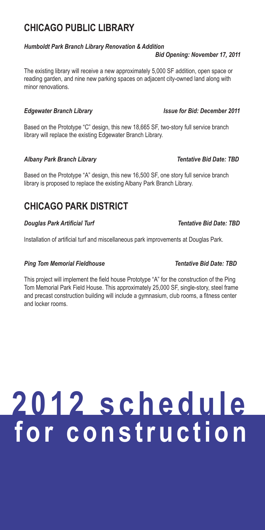#### **Chicago Public Library**

#### *Humboldt Park Branch Library Renovation & Addition*

#### *Bid Opening: November 17, 2011*

The existing library will receive a new approximately 5,000 SF addition, open space or reading garden, and nine new parking spaces on adjacent city-owned land along with minor renovations.

#### **Edgewater Branch Library Issue for Bid: December 2011**

Based on the Prototype "C" design, this new 18,665 SF, two-story full service branch library will replace the existing Edgewater Branch Library.

#### *Albany Park Branch Library Tentative Bid Date: TBD*

Based on the Prototype "A" design, this new 16,500 SF, one story full service branch library is proposed to replace the existing Albany Park Branch Library.

#### **Chicago PARK DISTRICT**

#### **Douglas Park Artificial Turf Tentative Bid Date: TBD**

Installation of artificial turf and miscellaneous park improvements at Douglas Park.

#### **Ping Tom Memorial Fieldhouse Tentative Bid Date: TBD**

This project will implement the field house Prototype "A" for the construction of the Ping Tom Memorial Park Field House. This approximately 25,000 SF, single-story, steel frame and precast construction building will include a gymnasium, club rooms, a fitness center and locker rooms.

### **2 0 1 2 s c h e d u l e f o r c o n s t r u c t i o n**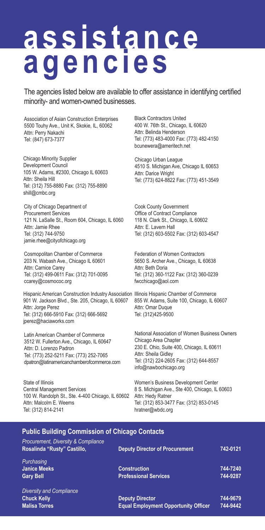# **a s s i s t a n c e a g e n c i e s**

The agencies listed below are available to offer assistance in identifying certified minority- and women-owned businesses.

Association of Asian Construction Enterprises 5500 Touhy Ave., Unit K, Skokie, IL, 60062 Attn: Perry Nakachi Tel: (847) 673-7377

Chicago Minority Supplier Development Council 105 W. Adams, #2300, Chicago IL 60603 Attn: Sheila Hill Tel: (312) 755-8880 Fax: (312) 755-8890 shill@cmbc.org

City of Chicago Department of Procurement Services 121 N. LaSalle St., Room 604, Chicago, IL 6060 Attn: Jamie Rhee Tel: (312) 744-9750 jamie.rhee@cityofchicago.org

Cosmopolitan Chamber of Commerce 203 N. Wabash Ave., Chicago IL 60601 Attn: Carnice Carey Tel: (312) 499-0611 Fax: (312) 701-0095 ccarey@cosmococ.org

Hispanic American Construction Industry Association Illinois Hispanic Chamber of Commerce 901 W. Jackson Blvd., Ste. 205, Chicago, IL 60607 Attn: Jorge Perez Tel: (312) 666-5910 Fax: (312) 666-5692 jperez@haciaworks.com

Latin American Chamber of Commerce 3512 W. Fullerton Ave., Chicago, IL 60647 Attn: D. Lorenzo Padron Tel: (773) 252-5211 Fax: (773) 252-7065 dpatron@latinamericanchamberofcommerce.com

100 W. Randolph St., Ste. 4-400 Chicago, IL 60602 Attn: Hedy Ratner State of Illinois Central Management Services Attn: Malcolm E. Weems Tel: (312) 814-2141

Black Contractors United 400 W. 76th St., Chicago, IL 60620 Attn: Belinda Henderson Tel: (773) 483-4000 Fax: (773) 482-4150 bcunewera@ameritech.net

Chicago Urban League 4510 S. Michigan Ave, Chicago IL 60653 Attn: Darice Wright Tel: (773) 624-8822 Fax: (773) 451-3549

Cook County Government Office of Contract Compliance 118 N. Clark St., Chicago, IL 60602 Attn: E. Lavern Hall Tel: (312) 603-5502 Fax: (312) 603-4547

Federation of Women Contractors 5650 S. Archer Ave., Chicago, IL 60638 Attn: Beth Doria Tel: (312) 360-1122 Fax: (312) 360-0239 fwcchicago@aol.com

855 W. Adams, Suite 100, Chicago, IL 60607 Attn: Omar Duque Tel: (312)425-9500

National Association of Women Business Owners Chicago Area Chapter 230 E. Ohio, Suite 400, Chicago, IL 60611 Attn: Sheila Gidley Tel: (312) 224-2605 Fax: (312) 644-8557 info@nawbochicago.org

Women's Business Development Center 8 S. Michigan Ave., Ste 400, Chicago, IL 60603 Tel: (312) 853-3477 Fax: (312) 853-0145 hratner@wbdc.org

#### **Public Building Commission of Chicago Contacts**

| <b>Deputy Director of Procurement</b>       | 742-0121 |
|---------------------------------------------|----------|
|                                             |          |
| <b>Construction</b>                         | 744-7240 |
| <b>Professional Services</b>                | 744-9287 |
|                                             |          |
| <b>Deputy Director</b>                      | 744-9679 |
| <b>Equal Employment Opportunity Officer</b> | 744-9442 |
|                                             |          |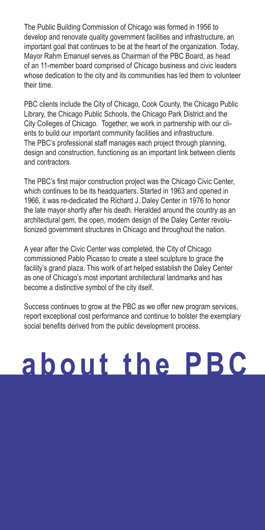The Public Building Commission of Chicago was formed in 1956 to develop and renovate quality government facilities and infrastructure, an important goal that continues to be at the heart of the organization. Today, Mayor Rahm Emanuel serves as Chairman of the PBC Board, as head of an 11-member board comprised of Chicago business and civic leaders whose dedication to the city and its communities has led them to volunteer their time.

PBC clients include the City of Chicago, Cook County, the Chicago Public Library, the Chicago Public Schools, the Chicago Park District and the City Colleges of Chicago. Together, we work in partnership with our clients to build our important community facilities and infrastructure. The PBC's professional staff manages each project through planning, design and construction, functioning as an important link between clients and contractors.

The PBC's first major construction project was the Chicago Civic Center, which continues to be its headquarters. Started in 1963 and opened in 1966, it was re-dedicated the Richard J. Daley Center in 1976 to honor the late mayor shortly after his death. Heralded around the country as an architectural gem, the open, modern design of the Daley Center revolutionized government structures in Chicago and throughout the nation.

A year after the Civic Center was completed, the City of Chicago commissioned Pablo Picasso to create a steel sculpture to grace the facility's grand plaza. This work of art helped establish the Daley Center as one of Chicago's most important architectural landmarks and has become a distinctive symbol of the city itself.

Success continues to grow at the PBC as we offer new program services, report exceptional cost performance and continue to bolster the exemplary social benefits derived from the public development process.

### **a b o u t t h e P B C**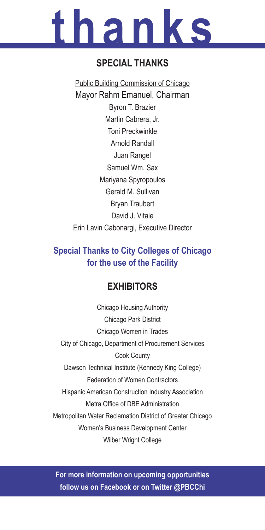# **t h a n k s**

#### **Special Thanks**

Public Building Commission of Chicago Mayor Rahm Emanuel, Chairman Byron T. Brazier Martin Cabrera, Jr. Toni Preckwinkle Arnold Randall Juan Rangel Samuel Wm. Sax Mariyana Spyropoulos Gerald M. Sullivan Bryan Traubert David J. Vitale Erin Lavin Cabonargi, Executive Director

#### **Special Thanks to City Colleges of Chicago for the use of the Facility**

#### **Exhibitors**

Chicago Housing Authority Chicago Park District Chicago Women in Trades City of Chicago, Department of Procurement Services Cook County Dawson Technical Institute (Kennedy King College) Federation of Women Contractors Hispanic American Construction Industry Association Metra Office of DBE Administration Metropolitan Water Reclamation District of Greater Chicago Women's Business Development Center Wilber Wright College

**For more information on upcoming opportunities follow us on Facebook or on Twitter @PBCChi**